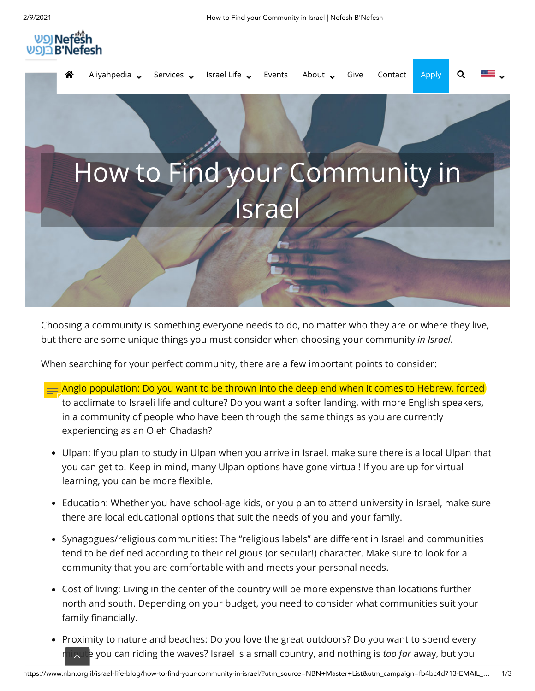



Choosing a community is something everyone needs to do, no matter who they are or where they live, but there are some unique things you must consider when choosing your community *in Israel*.

When searching for your perfect community, there are a few important points to consider:

- Anglo population: Do you want to be thrown into the deep end when it comes to Hebrew, forced to acclimate to Israeli life and culture? Do you want a softer landing, with more English speakers, in a community of people who have been through the same things as you are currently experiencing as an Oleh Chadash?
- Ulpan: If you plan to study in Ulpan when you arrive in Israel, make sure there is a local Ulpan that you can get to. Keep in mind, many Ulpan options have gone virtual! If you are up for virtual learning, you can be more flexible.
- Education: Whether you have school-age kids, or you plan to attend university in Israel, make sure there are local educational options that suit the needs of you and your family.
- Synagogues/religious communities: The "religious labels" are different in Israel and communities tend to be defined according to their religious (or secular!) character. Make sure to look for a community that you are comfortable with and meets your personal needs.
- Cost of living: Living in the center of the country will be more expensive than locations further north and south. Depending on your budget, you need to consider what communities suit your family financially.
- Proximity to nature and beaches: Do you love the great outdoors? Do you want to spend every minute you can riding the waves? Israel is a small country, and nothing is *too far* away, but you  $\lambda$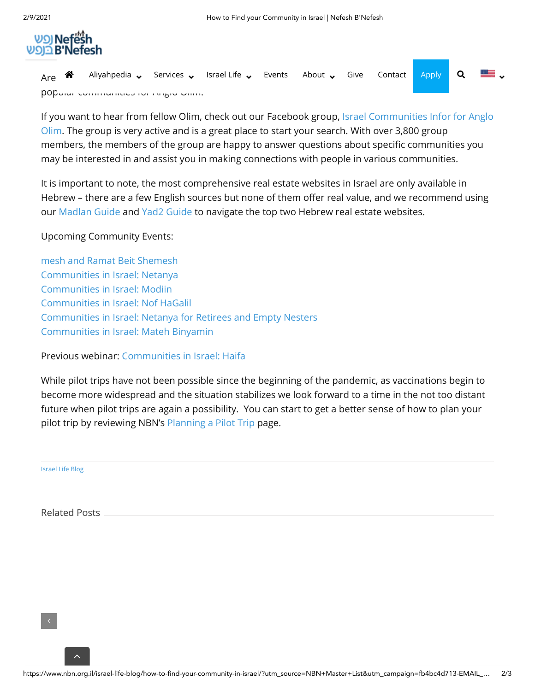

|                                       |  | Are $\bigotimes$ Aliyahpedia $\bigtriangledown$ Services $\bigtriangledown$ Israel Life $\bigtriangledown$ Events About $\bigtriangledown$ Give Contact Apply Q $\bigtriangledown$ |  |  |  |  |  |  |  |  |  |
|---------------------------------------|--|------------------------------------------------------------------------------------------------------------------------------------------------------------------------------------|--|--|--|--|--|--|--|--|--|
| DOD and Communication in August China |  |                                                                                                                                                                                    |  |  |  |  |  |  |  |  |  |

[If you want to hear from fellow Olim, check out our Facebook group, Israel Communities Infor for Anglo](https://www.facebook.com/groups/NBNcommunities) Olim. The group is very active and is a great place to start your search. With over 3,800 group members, the members of the group are happy to answer questions about specific communities you may be interested in and assist you in making connections with people in various communities.

It is important to note, the most comprehensive real estate websites in Israel are only available in Hebrew - there are a few English sources but none of them offer real value, and we recommend using our [Madlan Guide](https://www.nbn.org.il/madlan/) and [Yad2 Guide](https://www.nbn.org.il/yad2/) to navigate the top two Hebrew real estate websites.

## Upcoming Community Events:

[mesh and Ramat Beit Shemesh](https://us02web.zoom.us/webinar/register/WN_koG5cR1qRzmUti97ueTaRA) [Communities in Israel: Netanya](https://us02web.zoom.us/webinar/register/WN_yCXRiMFeRS2DjKCaDw7Q0g) [Communities in Israel: Modiin](https://us02web.zoom.us/webinar/register/WN_NpP7iOHkRWyJL5vGRypC8A) [Communities in Israel: Nof HaGalil](https://us02web.zoom.us/webinar/register/WN_IoRv1Yj2S9KLy7xjFhUbFw) [Communities in Israel: Netanya for Retirees and Empty Nesters](https://us02web.zoom.us/webinar/register/WN_TDPwk-PnTlWSb48u4t41FQ) [Communities in Israel: Mateh Binyamin](https://us02web.zoom.us/webinar/register/WN_b6lYD6PhTpi5Z-O0ILYXZw)

Previous webinar: [Communities in Israel: Haifa](https://youtu.be/ffemg4gpdbo)

While pilot trips have not been possible since the beginning of the pandemic, as vaccinations begin to become more widespread and the situation stabilizes we look forward to a time in the not too distant future when pilot trips are again a possibility. You can start to get a better sense of how to plan your pilot trip by reviewing NBN's [Planning a Pilot Trip](https://www.nbn.org.il/aliyahpedia/getting-started-planning-aliyah/planning-a-pilot-trip/) page.

[Israel Life Blog](https://www.nbn.org.il/israel-life-blog/)

Related Posts

 $\lambda$